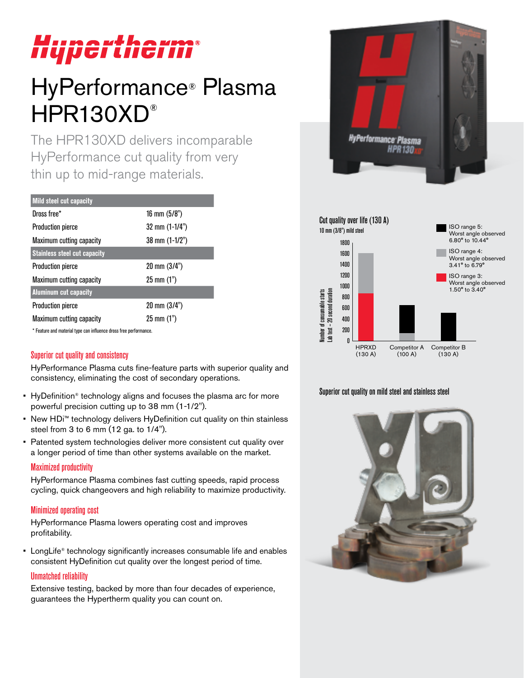# Hupertherm®

# HyPerformance® Plasma HPR130XD®

The HPR130XD delivers incomparable HyPerformance cut quality from very thin up to mid-range materials.

| <b>Mild steel cut capacity</b>      |                          |
|-------------------------------------|--------------------------|
| Dross free*                         | 16 mm $(5/8")$           |
| <b>Production pierce</b>            | $32 \text{ mm} (1-1/4")$ |
| Maximum cutting capacity            | 38 mm (1-1/2")           |
| <b>Stainless steel cut capacity</b> |                          |
| <b>Production pierce</b>            | $20 \text{ mm} (3/4")$   |
| Maximum cutting capacity            | $25 \text{ mm} (1")$     |
| <b>Aluminum cut capacity</b>        |                          |
| <b>Production pierce</b>            | 20 mm (3/4")             |
| Maximum cutting capacity            | $25 \text{ mm} (1")$     |

\* Feature and material type can influence dross free performance.

# Superior cut quality and consistency

HyPerformance Plasma cuts fine-feature parts with superior quality and consistency, eliminating the cost of secondary operations.

- HyDefinition® technology aligns and focuses the plasma arc for more powerful precision cutting up to 38 mm (1-1/2").
- New HDi™ technology delivers HyDefinition cut quality on thin stainless steel from 3 to 6 mm (12 ga. to 1/4").
- Patented system technologies deliver more consistent cut quality over a longer period of time than other systems available on the market.

#### Maximized productivity

HyPerformance Plasma combines fast cutting speeds, rapid process cycling, quick changeovers and high reliability to maximize productivity.

## Minimized operating cost

HyPerformance Plasma lowers operating cost and improves profitability.

• LongLife® technology significantly increases consumable life and enables consistent HyDefinition cut quality over the longest period of time.

#### Unmatched reliability

Extensive testing, backed by more than four decades of experience, guarantees the Hypertherm quality you can count on.





# Superior cut quality on mild steel and stainless steel